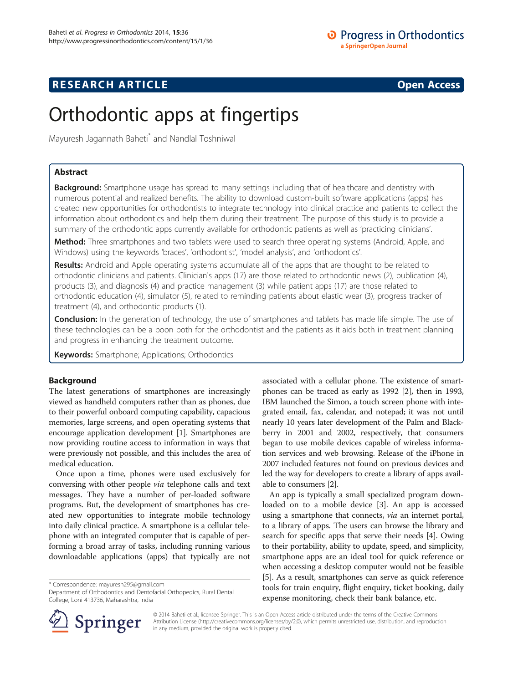# **RESEARCH ARTICLE Example 2014 CONSIDERING CONSIDERING CONSIDERING CONSIDERING CONSIDERING CONSIDERING CONSIDERING CONSIDERING CONSIDERING CONSIDERING CONSIDERING CONSIDERING CONSIDERING CONSIDERING CONSIDERING CONSIDE**

# Orthodontic apps at fingertips

Mayuresh Jagannath Baheti\* and Nandlal Toshniwal

# Abstract

Background: Smartphone usage has spread to many settings including that of healthcare and dentistry with numerous potential and realized benefits. The ability to download custom-built software applications (apps) has created new opportunities for orthodontists to integrate technology into clinical practice and patients to collect the information about orthodontics and help them during their treatment. The purpose of this study is to provide a summary of the orthodontic apps currently available for orthodontic patients as well as 'practicing clinicians'.

Method: Three smartphones and two tablets were used to search three operating systems (Android, Apple, and Windows) using the keywords 'braces', 'orthodontist', 'model analysis', and 'orthodontics'.

Results: Android and Apple operating systems accumulate all of the apps that are thought to be related to orthodontic clinicians and patients. Clinician's apps (17) are those related to orthodontic news (2), publication (4), products (3), and diagnosis (4) and practice management (3) while patient apps (17) are those related to orthodontic education (4), simulator (5), related to reminding patients about elastic wear (3), progress tracker of treatment (4), and orthodontic products (1).

Conclusion: In the generation of technology, the use of smartphones and tablets has made life simple. The use of these technologies can be a boon both for the orthodontist and the patients as it aids both in treatment planning and progress in enhancing the treatment outcome.

**Keywords:** Smartphone; Applications; Orthodontics

# Background

The latest generations of smartphones are increasingly viewed as handheld computers rather than as phones, due to their powerful onboard computing capability, capacious memories, large screens, and open operating systems that encourage application development [\[1\]](#page-4-0). Smartphones are now providing routine access to information in ways that were previously not possible, and this includes the area of medical education.

Once upon a time, phones were used exclusively for conversing with other people via telephone calls and text messages. They have a number of per-loaded software programs. But, the development of smartphones has created new opportunities to integrate mobile technology into daily clinical practice. A smartphone is a cellular telephone with an integrated computer that is capable of performing a broad array of tasks, including running various downloadable applications (apps) that typically are not

\* Correspondence: [mayuresh295@gmail.com](mailto:mayuresh295@gmail.com)

Department of Orthodontics and Dentofacial Orthopedics, Rural Dental College, Loni 413736, Maharashtra, India



An app is typically a small specialized program downloaded on to a mobile device [[3\]](#page-4-0). An app is accessed using a smartphone that connects, via an internet portal, to a library of apps. The users can browse the library and search for specific apps that serve their needs [\[4](#page-4-0)]. Owing to their portability, ability to update, speed, and simplicity, smartphone apps are an ideal tool for quick reference or when accessing a desktop computer would not be feasible [[5\]](#page-4-0). As a result, smartphones can serve as quick reference tools for train enquiry, flight enquiry, ticket booking, daily expense monitoring, check their bank balance, etc.



© 2014 Baheti et al.; licensee Springer. This is an Open Access article distributed under the terms of the Creative Commons Attribution License (http://creativecommons.org/licenses/by/2.0), which permits unrestricted use, distribution, and reproduction in any medium, provided the original work is properly cited.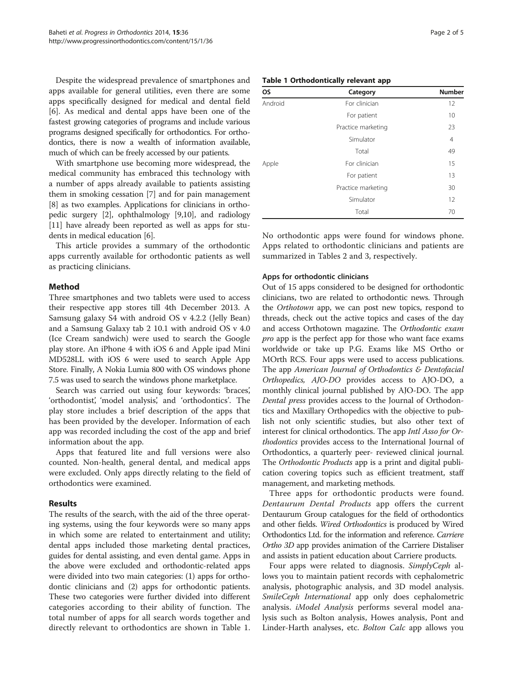Despite the widespread prevalence of smartphones and apps available for general utilities, even there are some apps specifically designed for medical and dental field [[6\]](#page-4-0). As medical and dental apps have been one of the fastest growing categories of programs and include various programs designed specifically for orthodontics. For orthodontics, there is now a wealth of information available, much of which can be freely accessed by our patients.

With smartphone use becoming more widespread, the medical community has embraced this technology with a number of apps already available to patients assisting them in smoking cessation [\[7\]](#page-4-0) and for pain management [[8\]](#page-4-0) as two examples. Applications for clinicians in orthopedic surgery [[2](#page-4-0)], ophthalmology [[9,10](#page-4-0)], and radiology [[11](#page-4-0)] have already been reported as well as apps for students in medical education [\[6\]](#page-4-0).

This article provides a summary of the orthodontic apps currently available for orthodontic patients as well as practicing clinicians.

## Method

Three smartphones and two tablets were used to access their respective app stores till 4th December 2013. A Samsung galaxy S4 with android OS v 4.2.2 (Jelly Bean) and a Samsung Galaxy tab 2 10.1 with android OS v 4.0 (Ice Cream sandwich) were used to search the Google play store. An iPhone 4 with iOS 6 and Apple ipad Mini MD528LL with iOS 6 were used to search Apple App Store. Finally, A Nokia Lumia 800 with OS windows phone 7.5 was used to search the windows phone marketplace.

Search was carried out using four keywords: 'braces', 'orthodontist', 'model analysis', and 'orthodontics'. The play store includes a brief description of the apps that has been provided by the developer. Information of each app was recorded including the cost of the app and brief information about the app.

Apps that featured lite and full versions were also counted. Non-health, general dental, and medical apps were excluded. Only apps directly relating to the field of orthodontics were examined.

## Results

The results of the search, with the aid of the three operating systems, using the four keywords were so many apps in which some are related to entertainment and utility; dental apps included those marketing dental practices, guides for dental assisting, and even dental game. Apps in the above were excluded and orthodontic-related apps were divided into two main categories: (1) apps for orthodontic clinicians and (2) apps for orthodontic patients. These two categories were further divided into different categories according to their ability of function. The total number of apps for all search words together and directly relevant to orthodontics are shown in Table 1.

| Page 2 of 5 |  |  |  |
|-------------|--|--|--|
|-------------|--|--|--|

Table 1 Orthodontically relevant app

| <b>OS</b> | Category           | <b>Number</b> |
|-----------|--------------------|---------------|
| Android   | For clinician      | 12            |
|           | For patient        | 10            |
|           | Practice marketing | 23            |
|           | Simulator          | 4             |
|           | Total              | 49            |
| Apple     | For clinician      | 15            |
|           | For patient        | 13            |
|           | Practice marketing | 30            |
|           | Simulator          | 12            |
|           | Total              | 70            |

No orthodontic apps were found for windows phone. Apps related to orthodontic clinicians and patients are summarized in Tables [2](#page-2-0) and [3,](#page-2-0) respectively.

#### Apps for orthodontic clinicians

Out of 15 apps considered to be designed for orthodontic clinicians, two are related to orthodontic news. Through the Orthotown app, we can post new topics, respond to threads, check out the active topics and cases of the day and access Orthotown magazine. The Orthodontic exam pro app is the perfect app for those who want face exams worldwide or take up P.G. Exams like MS Ortho or MOrth RCS. Four apps were used to access publications. The app American Journal of Orthodontics & Dentofacial Orthopedics, AJO-DO provides access to AJO-DO, a monthly clinical journal published by AJO-DO. The app Dental press provides access to the Journal of Orthodontics and Maxillary Orthopedics with the objective to publish not only scientific studies, but also other text of interest for clinical orthodontics. The app Intl Asso for Orthodontics provides access to the International Journal of Orthodontics, a quarterly peer- reviewed clinical journal. The Orthodontic Products app is a print and digital publication covering topics such as efficient treatment, staff management, and marketing methods.

Three apps for orthodontic products were found. Dentaurum Dental Products app offers the current Dentaurum Group catalogues for the field of orthodontics and other fields. Wired Orthodontics is produced by Wired Orthodontics Ltd. for the information and reference. Carriere Ortho 3D app provides animation of the Carriere Distaliser and assists in patient education about Carriere products.

Four apps were related to diagnosis. SimplyCeph allows you to maintain patient records with cephalometric analysis, photographic analysis, and 3D model analysis. SmileCeph International app only does cephalometric analysis. iModel Analysis performs several model analysis such as Bolton analysis, Howes analysis, Pont and Linder-Harth analyses, etc. Bolton Calc app allows you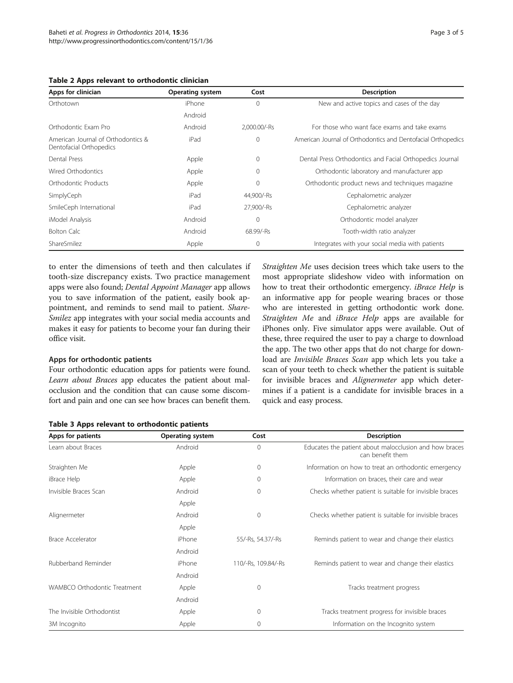<span id="page-2-0"></span>

|  |  |  |  | Table 2 Apps relevant to orthodontic clinician |  |
|--|--|--|--|------------------------------------------------|--|
|--|--|--|--|------------------------------------------------|--|

| Apps for clinician                                            | Operating system | Cost         | <b>Description</b>                                           |
|---------------------------------------------------------------|------------------|--------------|--------------------------------------------------------------|
| Orthotown                                                     | iPhone           | 0            | New and active topics and cases of the day                   |
|                                                               | Android          |              |                                                              |
| Orthodontic Exam Pro                                          | Android          | 2,000.00/-Rs | For those who want face exams and take exams                 |
| American Journal of Orthodontics &<br>Dentofacial Orthopedics | iPad             | $\mathbf{0}$ | American Journal of Orthodontics and Dentofacial Orthopedics |
| Dental Press                                                  | Apple            | 0            | Dental Press Orthodontics and Facial Orthopedics Journal     |
| Wired Orthodontics                                            | Apple            | 0            | Orthodontic laboratory and manufacturer app                  |
| Orthodontic Products                                          | Apple            | 0            | Orthodontic product news and techniques magazine             |
| SimplyCeph                                                    | iPad             | 44,900/-Rs   | Cephalometric analyzer                                       |
| SmileCeph International                                       | iPad             | 27,900/-Rs   | Cephalometric analyzer                                       |
| iModel Analysis                                               | Android          | 0            | Orthodontic model analyzer                                   |
| <b>Bolton Calc</b>                                            | Android          | 68.99/-Rs    | Tooth-width ratio analyzer                                   |
| ShareSmilez                                                   | Apple            | 0            | Integrates with your social media with patients              |

to enter the dimensions of teeth and then calculates if tooth-size discrepancy exists. Two practice management apps were also found; Dental Appoint Manager app allows you to save information of the patient, easily book appointment, and reminds to send mail to patient. Share-Smilez app integrates with your social media accounts and makes it easy for patients to become your fan during their office visit.

#### Apps for orthodontic patients

Four orthodontic education apps for patients were found. Learn about Braces app educates the patient about malocclusion and the condition that can cause some discomfort and pain and one can see how braces can benefit them.

Straighten Me uses decision trees which take users to the most appropriate slideshow video with information on how to treat their orthodontic emergency. *iBrace Help* is an informative app for people wearing braces or those who are interested in getting orthodontic work done. Straighten Me and iBrace Help apps are available for iPhones only. Five simulator apps were available. Out of these, three required the user to pay a charge to download the app. The two other apps that do not charge for download are Invisible Braces Scan app which lets you take a scan of your teeth to check whether the patient is suitable for invisible braces and *Alignermeter* app which determines if a patient is a candidate for invisible braces in a quick and easy process.

| Apps for patients                   | <b>Operating system</b> | Cost                | <b>Description</b>                                                         |
|-------------------------------------|-------------------------|---------------------|----------------------------------------------------------------------------|
| Learn about Braces                  | Android                 | 0                   | Educates the patient about malocclusion and how braces<br>can benefit them |
| Straighten Me                       | Apple                   | 0                   | Information on how to treat an orthodontic emergency                       |
| iBrace Help                         | Apple                   | 0                   | Information on braces, their care and wear                                 |
| Invisible Braces Scan               | Android                 | $\mathbf{0}$        | Checks whether patient is suitable for invisible braces                    |
|                                     | Apple                   |                     |                                                                            |
| Alignermeter                        | Android                 | $\mathbf{0}$        | Checks whether patient is suitable for invisible braces                    |
|                                     | Apple                   |                     |                                                                            |
| <b>Brace Accelerator</b>            | iPhone                  | 55/-Rs, 54.37/-Rs   | Reminds patient to wear and change their elastics                          |
|                                     | Android                 |                     |                                                                            |
| Rubberband Reminder                 | iPhone                  | 110/-Rs, 109.84/-Rs | Reminds patient to wear and change their elastics                          |
|                                     | Android                 |                     |                                                                            |
| <b>WAMBCO Orthodontic Treatment</b> | Apple                   | 0                   | Tracks treatment progress                                                  |
|                                     | Android                 |                     |                                                                            |
| The Invisible Orthodontist          | Apple                   | 0                   | Tracks treatment progress for invisible braces                             |
| 3M Incognito                        | Apple                   | 0                   | Information on the Incognito system                                        |

Table 3 Apps relevant to orthodontic patients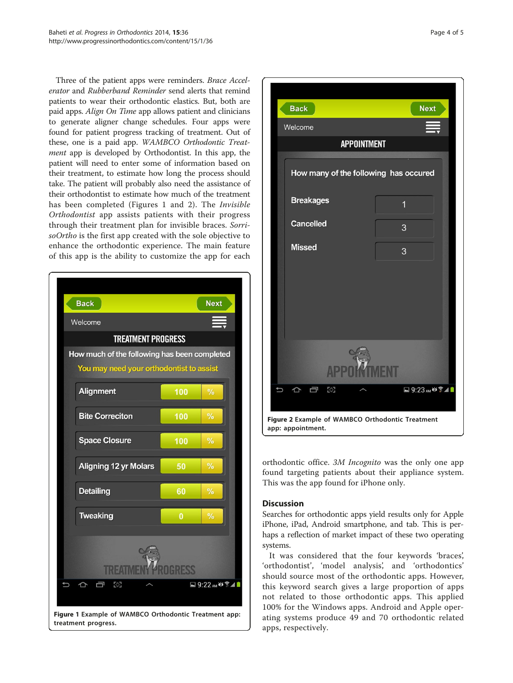Three of the patient apps were reminders. Brace Accelerator and Rubberband Reminder send alerts that remind patients to wear their orthodontic elastics. But, both are paid apps. Align On Time app allows patient and clinicians to generate aligner change schedules. Four apps were found for patient progress tracking of treatment. Out of these, one is a paid app. WAMBCO Orthodontic Treatment app is developed by Orthodontist. In this app, the patient will need to enter some of information based on their treatment, to estimate how long the process should take. The patient will probably also need the assistance of their orthodontist to estimate how much of the treatment has been completed (Figures 1 and 2). The Invisible Orthodontist app assists patients with their progress through their treatment plan for invisible braces. SorrisoOrtho is the first app created with the sole objective to enhance the orthodontic experience. The main feature of this app is the ability to customize the app for each





orthodontic office. 3M Incognito was the only one app found targeting patients about their appliance system. This was the app found for iPhone only.

## **Discussion**

Searches for orthodontic apps yield results only for Apple iPhone, iPad, Android smartphone, and tab. This is perhaps a reflection of market impact of these two operating systems.

It was considered that the four keywords 'braces', 'orthodontist', 'model analysis', and 'orthodontics' should source most of the orthodontic apps. However, this keyword search gives a large proportion of apps not related to those orthodontic apps. This applied 100% for the Windows apps. Android and Apple operating systems produce 49 and 70 orthodontic related apps, respectively.